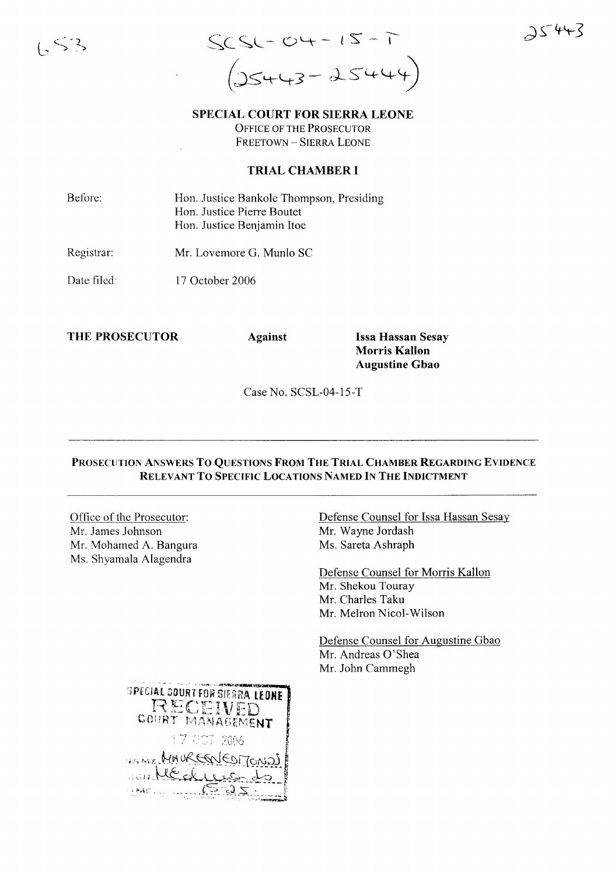

 $25443$ 

SPECIAL COURT FOR SIERRA LEONE OFFICE OF THE PROSECUTOR

FREETOWN - SIERRA LEONE

## TRIAL CHAMBER I

Before: Hon. Justice Bankole Thompson, Presiding Hon. Justice Pierre Boutet Hon. Justice Benjamin Itoe

Registrar: Mr. Lovemore G. Munlo SC

Date filed: 17 October 2006

THE PROSECUTOR Against Issa Hassan Sesay

Morris Kallon Augustine Gbao

Case No. SCSL-04-l5-T

## PROSECUTION ANSWERS To QUESTIONS FROM THE TRIAL CHAMBER REGARDING EVIDENCE RELEVANT TO SPECIFIC LOCATIONS NAMED IN THE INDICTMENT

Office of the Prosecutor: Mr. James Johnson Mr. Mohamed A. Bangura Ms. Shyamala Alagendra

Defense Counsel for Issa Hassan Sesay Mr. Wayne Jordash Ms. Sareta Ashraph

Defense Counsel for Morris Kallon Mr. Shekou Touray Mr. Charles Taku Mr. Melron Nicol-Wilson

Defense Counsel for Augustine Gbao Mr. Andreas O'Shea Mr. John Cammegh